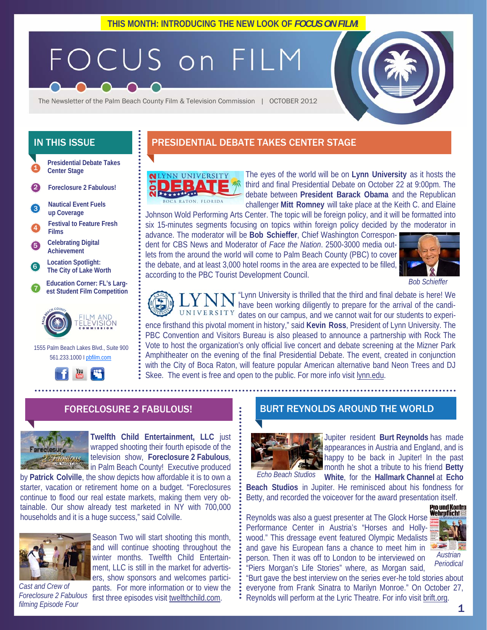# FOCUS on FILM

The Newsletter of the Palm Beach County Film & Television Commission | OCTOBER 2012

**Presidential Debate Takes Center Stage**  1

- 2 **Foreclosure 2 Fabulous!**
- **Nautical Event Fuels up Coverage**  3

4 **Festival to Feature Fresh Films** 

5 **Celebrating Digital Achievement** 

6 **Location Spotlight: The City of Lake Worth** 

7 **Education Corner: FL's Largest Student Film Competition**



 1555 Palm Beach Lakes Blvd., Suite 900 561.233.1000 I pbfilm.com



# IN THIS ISSUE **PRESIDENTIAL DEBATE TAKES CENTER STAGE**



The eyes of the world will be on **Lynn University** as it hosts the third and final Presidential Debate on October 22 at 9:00pm. The debate between **President Barack Obama** and the Republican challenger **Mitt Romney** will take place at the Keith C. and Elaine

Johnson Wold Performing Arts Center. The topic will be foreign policy, and it will be formatted into six 15-minutes segments focusing on topics within foreign policy decided by the moderator in

advance. The moderator will be **Bob Schieffer**, Chief Washington Correspondent for CBS News and Moderator of *Face the Nation*. 2500-3000 media outlets from the around the world will come to Palm Beach County (PBC) to cover the debate, and at least 3,000 hotel rooms in the area are expected to be filled, according to the PBC Tourist Development Council.



*Bob Schieffer* 



"Lynn University is thrilled that the third and final debate is here! We have been working diligently to prepare for the arrival of the candi-UNIVERSITY dates on our campus, and we cannot wait for our students to experience firsthand this pivotal moment in history," said **Kevin Ross**, President of Lynn University. The PBC Convention and Visitors Bureau is also pleased to announce a partnership with Rock The Vote to host the organization's only official live concert and debate screening at the Mizner Park Amphitheater on the evening of the final Presidential Debate. The event, created in conjunction with the City of Boca Raton, will feature popular American alternative band Neon Trees and DJ Skee. The event is free and open to the public. For more info visit lynn.edu.

## FORECLOSURE 2 FABULOUS!



**Twelfth Child Entertainment, LLC** just wrapped shooting their fourth episode of the television show, **Foreclosure 2 Fabulous**, **in Palm Beach County!** Executive produced

by **Patrick Colville**, the show depicts how affordable it is to own a starter, vacation or retirement home on a budget. "Foreclosures continue to flood our real estate markets, making them very obtainable. Our show already test marketed in NY with 700,000 households and it is a huge success," said Colville.



Foreclosure 2 Fabulous first three episodes visit twelfthchild.com. *Cast and Crew of filming Episode Four* 

Season Two will start shooting this month, and will continue shooting throughout the winter months. Twelfth Child Entertainment, LLC is still in the market for advertisers, show sponsors and welcomes participants. For more information or to view the

## BURT REYNOLDS AROUND THE WORLD



Jupiter resident **Burt Reynolds** has made appearances in Austria and England, and is happy to be back in Jupiter! In the past month he shot a tribute to his friend **Betty White**, for the **Hallmark Channel** at **Echo**  *Echo Beach Studios* 

**Beach Studios** in Jupiter. He reminisced about his fondness for Betty, and recorded the voiceover for the award presentation itself.<br>**Pro und Kontra**<br>**Revealds weakly a great presentation in The Clack Using Wehrpflicht** 



"Burt gave the best interview on the series ever-he told stories about everyone from Frank Sinatra to Marilyn Monroe." On October 27, Reynolds will perform at the Lyric Theatre. For info visit brift.org.

"Piers Morgan's Life Stories" where, as Morgan said,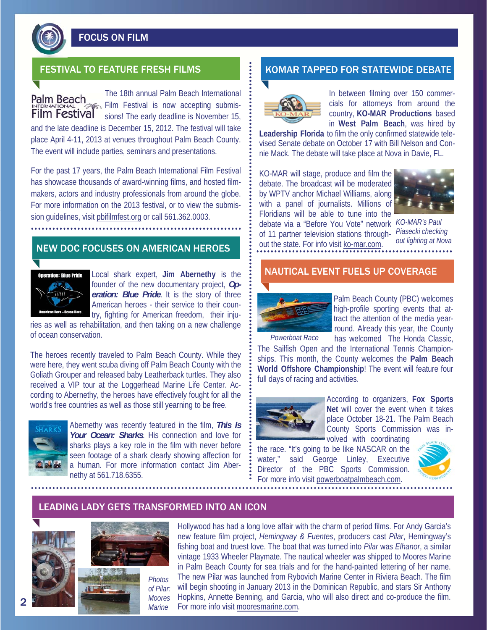

FOCUS ON FILM

Palm Beach **Film Festival** 

The 18th annual Palm Beach International Film Festival is now accepting submissions! The early deadline is November 15,

and the late deadline is December 15, 2012. The festival will take place April 4-11, 2013 at venues throughout Palm Beach County. The event will include parties, seminars and presentations.

For the past 17 years, the Palm Beach International Film Festival has showcase thousands of award-winning films, and hosted filmmakers, actors and industry professionals from around the globe. For more information on the 2013 festival, or to view the submission guidelines, visit pbifilmfest.org or call 561.362.0003.

# NEW DOC FOCUSES ON AMERICAN HEROES



Local shark expert, **Jim Abernethy** is the founder of the new documentary project, *Operation: Blue Pride*. It is the story of three American heroes - their service to their country, fighting for American freedom, their inju-

ries as well as rehabilitation, and then taking on a new challenge of ocean conservation.

The heroes recently traveled to Palm Beach County. While they were here, they went scuba diving off Palm Beach County with the Goliath Grouper and released baby Leatherback turtles. They also received a VIP tour at the Loggerhead Marine Life Center. According to Abernethy, the heroes have effectively fought for all the world's free countries as well as those still yearning to be free.



Abernethy was recently featured in the film, *This Is Your Ocean: Sharks*. His connection and love for sharks plays a key role in the film with never before seen footage of a shark clearly showing affection for a human. For more information contact Jim Abernethy at 561.718.6355.

# FESTIVAL TO FEATURE FRESH FILMS **The Example of ATA ASSESS** KOMAR TAPPED FOR STATEWIDE DEBATE



In between filming over 150 commercials for attorneys from around the country, **KO-MAR Productions** based in **West Palm Beach**, was hired by

**Leadership Florida** to film the only confirmed statewide televised Senate debate on October 17 with Bill Nelson and Connie Mack. The debate will take place at Nova in Davie, FL.

KO-MAR will stage, produce and film the debate. The broadcast will be moderated by WPTV anchor Michael Williams, along with a panel of journalists. Millions of Floridians will be able to tune into the debate via a "Before You Vote" network *KO-MAR's Paul*  of 11 partner television stations through-*Piasecki checking*  out the state. For info visit ko-mar.com.



*out lighting at Nova* 

## NAUTICAL EVENT FUELS UP COVERAGE



Palm Beach County (PBC) welcomes high-profile sporting events that attract the attention of the media yearround. Already this year, the County has welcomed The Honda Classic,

*Powerboat Race* 

The Sailfish Open and the International Tennis Championships. This month, the County welcomes the **Palm Beach World Offshore Championship**! The event will feature four full days of racing and activities.



According to organizers, **Fox Sports Net** will cover the event when it takes place October 18-21. The Palm Beach County Sports Commission was involved with coordinating

the race. "It's going to be like NASCAR on the water," said George Linley, Executive Director of the PBC Sports Commission. For more info visit powerboatpalmbeach.com.



## LEADING LADY GETS TRANSFORMED INTO AN ICON



Hollywood has had a long love affair with the charm of period films. For Andy Garcia's new feature film project, *Hemingway & Fuentes*, producers cast *Pilar*, Hemingway's fishing boat and truest love. The boat that was turned into *Pilar* was *Elhanor*, a similar vintage 1933 Wheeler Playmate. The nautical wheeler was shipped to Moores Marine in Palm Beach County for sea trials and for the hand-painted lettering of her name. The new Pilar was launched from Rybovich Marine Center in Riviera Beach. The film will begin shooting in January 2013 in the Dominican Republic, and stars Sir Anthony Hopkins, Annette Benning, and Garcia, who will also direct and co-produce the film. For more info visit mooresmarine.com.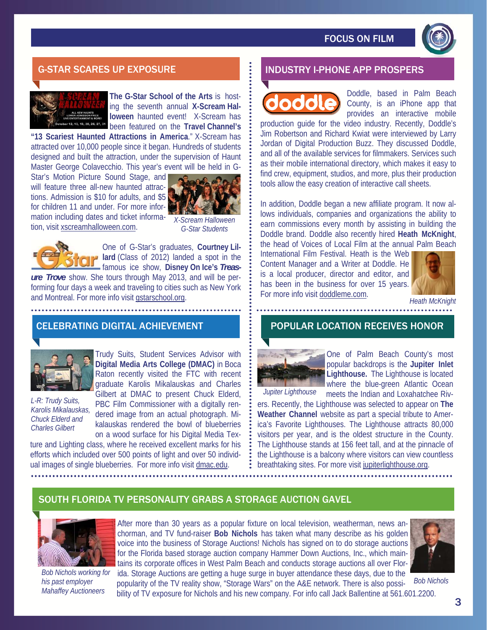

# G-STAR SCARES UP EXPOSURE INDUSTRY I-PHONE APP PROSPERS



**The G-Star School of the Arts** is hosting the seventh annual **X-Scream Halloween** haunted event! X-Scream has been featured on the **Travel Channel's** 

**"13 Scariest Haunted Attractions in America**." X-Scream has attracted over 10,000 people since it began. Hundreds of students designed and built the attraction, under the supervision of Haunt Master George Colavecchio. This year's event will be held in G-

Star's Motion Picture Sound Stage, and will feature three all-new haunted attractions. Admission is \$10 for adults, and \$5 for children 11 and under. For more information including dates and ticket information, visit xscreamhalloween.com.



*X-Scream Halloween G-Star Students* 



One of G-Star's graduates, **Courtney Lillard** (Class of 2012) landed a spot in the famous ice show, **Disney On Ice's** *Treas-*

*ure Trove* show. She tours through May 2013, and will be performing four days a week and traveling to cities such as New York and Montreal. For more info visit gstarschool.org.

# CELEBRATING DIGITAL ACHIEVEMENT POPULAR LOCATION RECEIVES HONOR



*L-R: Trudy Suits, Karolis Mikalauskas, Chuck Elderd and* 

Trudy Suits, Student Services Advisor with **Digital Media Arts College (DMAC)** in Boca Raton recently visited the FTC with recent graduate Karolis Mikalauskas and Charles Gilbert at DMAC to present Chuck Elderd, PBC Film Commissioner with a digitally rendered image from an actual photograph. Mikalauskas rendered the bowl of blueberries

on a wood surface for his Digital Media Texture and Lighting class, where he received excellent marks for his efforts which included over 500 points of light and over 50 individual images of single blueberries. For more info visit dmac.edu. *Charles Gilbert* 

Doddle, based in Palm Beach County, is an iPhone app that provides an interactive mobile

production guide for the video industry. Recently, Doddle's Jim Robertson and Richard Kwiat were interviewed by Larry Jordan of Digital Production Buzz. They discussed Doddle, and all of the available services for filmmakers. Services such as their mobile international directory, which makes it easy to find crew, equipment, studios, and more, plus their production tools allow the easy creation of interactive call sheets.

In addition, Doddle began a new affiliate program. It now allows individuals, companies and organizations the ability to earn commissions every month by assisting in building the Doddle brand. Doddle also recently hired **Heath McKnight**, the head of Voices of Local Film at the annual Palm Beach

International Film Festival. Heath is the Web Content Manager and a Writer at Doddle. He is a local producer, director and editor, and has been in the business for over 15 years. For more info visit doddleme.com.



*Heath McKnight* 

. . . . . . . . . . . . . . . .



One of Palm Beach County's most popular backdrops is the **Jupiter Inlet Lighthouse.** The Lighthouse is located where the blue-green Atlantic Ocean meets the Indian and Loxahatchee Riv-

*Jupiter Lighthouse* 

ers. Recently, the Lighthouse was selected to appear on **The Weather Channel** website as part a special tribute to America's Favorite Lighthouses. The Lighthouse attracts 80,000 visitors per year, and is the oldest structure in the County. The Lighthouse stands at 156 feet tall, and at the pinnacle of the Lighthouse is a balcony where visitors can view countless breathtaking sites. For more visit jupiterlighthouse.org.

# SOUTH FLORIDA TV PERSONALITY GRABS A STORAGE AUCTION GAVEL



*Bob Nichols working for his past employer Mahaffey Auctioneers* 

After more than 30 years as a popular fixture on local television, weatherman, news anchorman, and TV fund-raiser **Bob Nichols** has taken what many describe as his golden voice into the business of Storage Auctions! Nichols has signed on to do storage auctions for the Florida based storage auction company Hammer Down Auctions, Inc., which maintains its corporate offices in West Palm Beach and conducts storage auctions all over Florida. Storage Auctions are getting a huge surge in buyer attendance these days, due to the



*Bob Nichols* 

popularity of the TV reality show, "Storage Wars" on the A&E network. There is also possibility of TV exposure for Nichols and his new company. For info call Jack Ballentine at 561.601.2200.